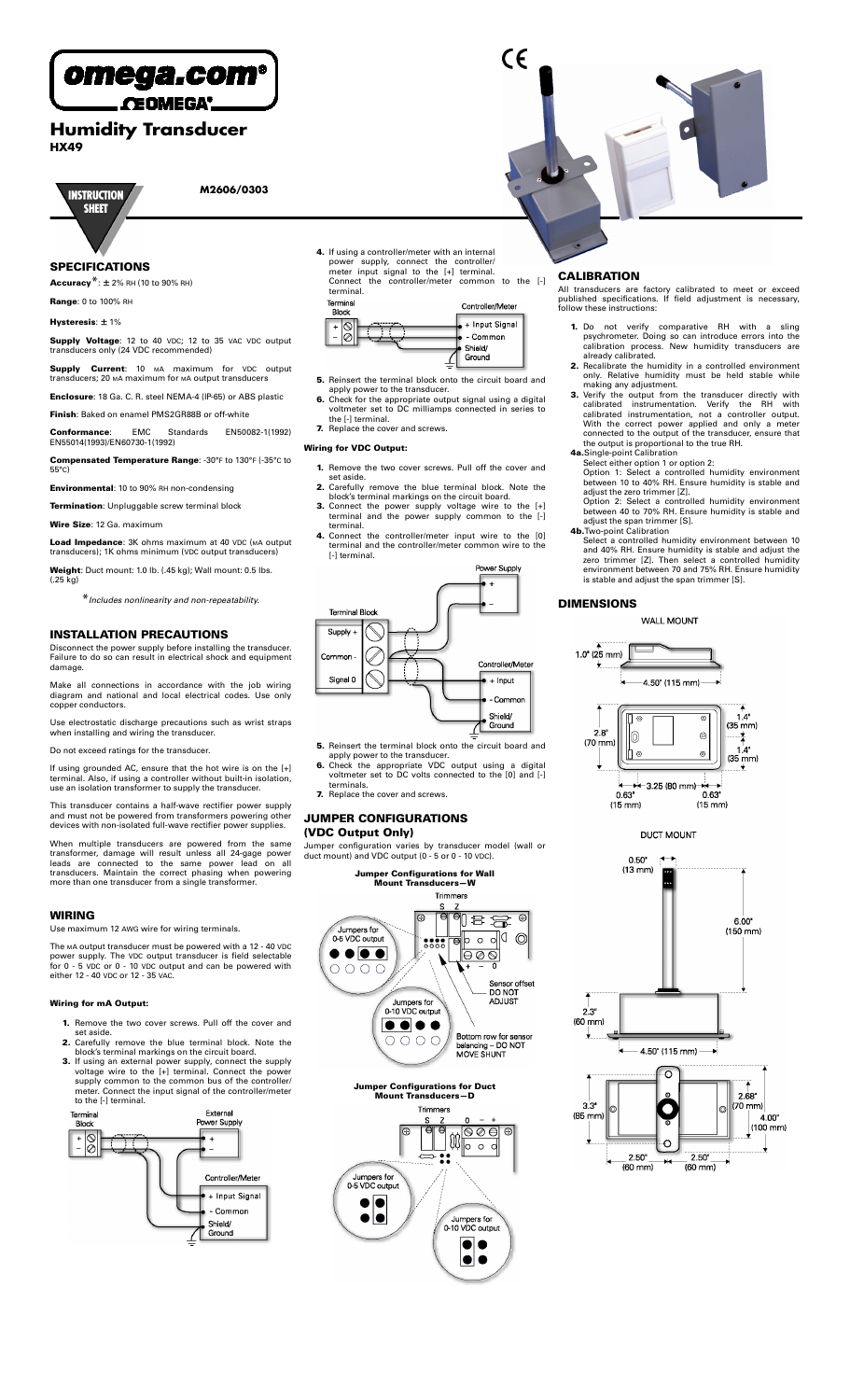

CEOMEGA'.

# **Humidity Transducer HX49**



**M2606/0303**

## **SPECIFICATIONS**

**Accuracy**\*: ± 2% RH (10 to 90% RH)

**Range**: 0 to 100% RH

#### **Hysteresis**: ± 1%

**Supply Voltage**: 12 to 40 VDC; 12 to 35 VAC VDC output transducers only (24 VDC recommended)

**Supply Current**: 10 MA maximum for VDC output transducers; 20 MA maximum for MA output transducers

- **Enclosure**: 18 Ga. C. R. steel NEMA-4 (IP-65) or ABS plastic
- **Finish**: Baked on enamel PMS2GR88B or off-white
- **Conformance**: EMC Standards EN50082-1(1992) EN55014(1993)/EN60730-1(1992)
- **Compensated Temperature Range**: -30°F to 130°F (-35°C to 55°C)

**Environmental**: 10 to 90% RH non-condensing

- **Termination**: Unpluggable screw terminal block
- **Wire Size**: 12 Ga. maximum

**Load Impedance**: 3K ohms maximum at 40 VDC (MA output transducers); 1K ohms minimum (VDC output transducers)

**Weight**: Duct mount: 1.0 lb. (.45 kg); Wall mount: 0.5 lbs. (.25 kg)

\**Includes nonlinearity and non-repeatability.*

#### **INSTALLATION PRECAUTIONS**

Disconnect the power supply before installing the transducer. Failure to do so can result in electrical shock and equipment damage.

Make all connections in accordance with the job wiring diagram and national and local electrical codes. Use only copper conductors.

Use electrostatic discharge precautions such as wrist straps when installing and wiring the transducer.

Do not exceed ratings for the transducer.

If using grounded AC, ensure that the hot wire is on the [+] terminal. Also, if using a controller without built-in isolation, use an isolation transformer to supply the transducer.

This transducer contains a half-wave rectifier power supply and must not be powered from transformers powering other devices with non-isolated full-wave rectifier power supplies.

When multiple transducers are powered from the same<br>transformer, damage will result unless all 24-gage power<br>leads are connected to the same power lead on all<br>transducers. Maintain the correct phasing when powering<br>more th

### **WIRING**

Use maximum 12 AWG wire for wiring terminals.

The MA output transducer must be powered with a 12 - 40 VDC power supply. The VDC output transducer is field selectable for 0 - 5 VDC or 0 - 10 VDC output and can be powered with either 12 - 40 VDC or 12 - 35 VAC.

#### **Wiring for mA Output:**

- **1.** Remove the two cover screws. Pull off the cover and set aside.
- 
- set aside.<br>
2. Carefully remove the blue terminal block. Note the<br>
block's terminal markings on the circuit board.<br>
3. If using an external power supply, connect the supply<br>
voltage wire to the  $[+]$  terminal. Connect the



**4.** If using a controller/meter with an internal power supply, connect the controller/<br>meter input signal to the [+] terminal. Connect the controller/meter common to the [-]



- **5.** Reinsert the terminal block onto the circuit board and
- 
- 

- 
- 
- set aside.<br>
2. Carefully remove the blue terminal block. Note the<br>
block's terminal markings on the circuit board.<br>
3. Connect the power supply voltage wire to the [+]<br>
terminal and the power supply common to the [-]<br>
term
- 



- **5.** Reinsert the terminal block onto the circuit board and
- apply power to the transducer.<br> **6.** Check the appropriate VDC output using a digital<br>
voltmeter set to DC volts connected to the [0] and [-] terminals.
- **7.** Replace the cover and screws.

#### **JUMPER CONFIGURATIONS (VDC Output Only)**

Jumper configuration varies by transducer model (wall or duct mount) and VDC output (0 - 5 or 0 - 10 VDC).



## **CALIBRATION**

All transducers are factory calibrated to meet or exceed published specifications. If field adjustment is necessary, follow these instructions:

- **1.** Do not verify comparative RH with a sling<br>psychrometer. Doing so can introduce errors into the<br>calibration process. New humidity transducers are already calibrated.
- an eauy canoraced.<br>**2.** Recalibrate the humidity in a controlled environment<br>only. Relative humidity must be held stable while
- only. Relative humidity must be held stable while<br>making any adjustment.<br>**3.** Verify the output from the transducer directly with<br>calibrated instrumentation. Verify the RH with<br>calibrated instrumentation, not a controller
- - Option 1: Select a controlled humidity environment between 10 to 40% RH. Ensure humidity is stable and adjust the zero trimmer [Z].

Option 2: Select a controlled humidity environment between 40 to 70% RH. Ensure humidity is stable and

- 
- adjust the span trimmer [S].<br> **4b.** Two-point Calibration<br>
Select a controlled humidity environment between 10<br>
Select a controlled humidity is stable and adjust the<br>
zero trimmer [Z]. Then select a controlled humidity<br>
e

## **DIMENSIONS**

**WALL MOUNT** 









 $\epsilon$ 



- 
- apply power to the transducer.<br> **6.** Check for the appropriate output signal using a digital<br>
voltmeter set to DC milliamps connected in series to<br>
the [-] terminal.<br> **7.** Replace the cover and screws.
- 

## **Wiring for VDC Output:**

- **1.** Remove the two cover screws. Pull off the cover and set aside.
-